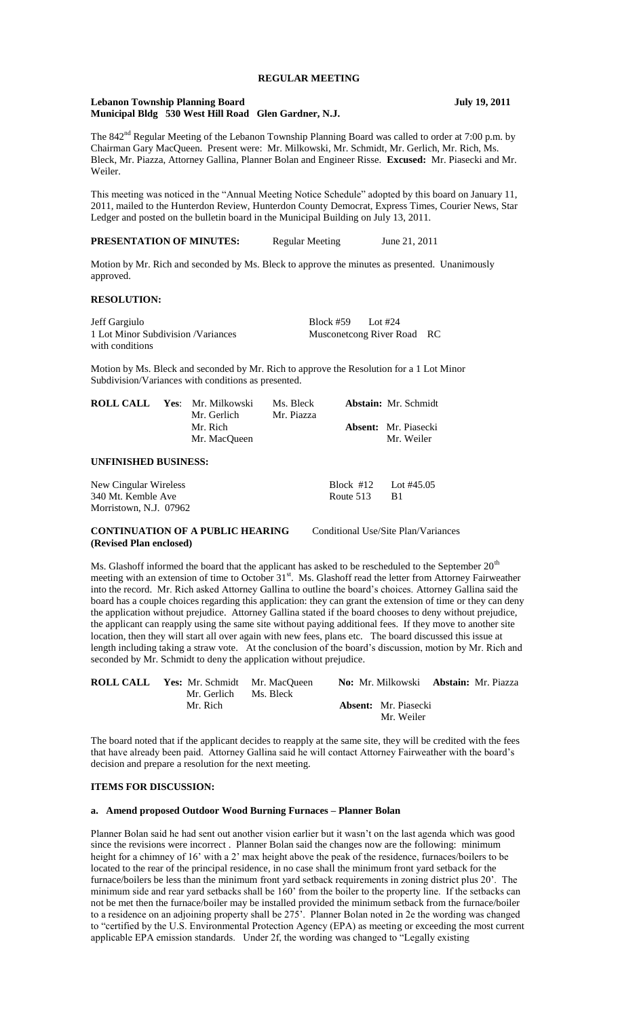# **REGULAR MEETING**

#### **Lebanon Township Planning Board July 19, 2011 Municipal Bldg 530 West Hill Road Glen Gardner, N.J.**

The 842<sup>nd</sup> Regular Meeting of the Lebanon Township Planning Board was called to order at 7:00 p.m. by Chairman Gary MacQueen. Present were: Mr. Milkowski, Mr. Schmidt, Mr. Gerlich, Mr. Rich, Ms. Bleck, Mr. Piazza, Attorney Gallina, Planner Bolan and Engineer Risse. **Excused:** Mr. Piasecki and Mr. Weiler.

This meeting was noticed in the "Annual Meeting Notice Schedule" adopted by this board on January 11, 2011, mailed to the Hunterdon Review, Hunterdon County Democrat, Express Times, Courier News, Star Ledger and posted on the bulletin board in the Municipal Building on July 13, 2011.

**PRESENTATION OF MINUTES:** Regular Meeting June 21, 2011

Motion by Mr. Rich and seconded by Ms. Bleck to approve the minutes as presented. Unanimously approved.

## **RESOLUTION:**

Jeff Gargiulo Block #59 Lot #24 1 Lot Minor Subdivision /Variances Musconetcong River Road RC with conditions

Motion by Ms. Bleck and seconded by Mr. Rich to approve the Resolution for a 1 Lot Minor Subdivision/Variances with conditions as presented.

| <b>ROLL CALL</b>            |  | Yes: Mr. Milkowski<br>Mr. Gerlich | Ms. Bleck<br>Mr. Piazza |             | <b>Abstain:</b> Mr. Schmidt<br><b>Absent:</b> Mr. Piasecki<br>Mr. Weiler |
|-----------------------------|--|-----------------------------------|-------------------------|-------------|--------------------------------------------------------------------------|
|                             |  | Mr. Rich<br>Mr. MacOueen          |                         |             |                                                                          |
| <b>UNFINISHED BUSINESS:</b> |  |                                   |                         |             |                                                                          |
| New Cingular Wireless       |  |                                   |                         | Block $#12$ | Lot #45.05                                                               |
| 340 Mt. Kemble Ave          |  | Route 513                         | <b>B</b> 1              |             |                                                                          |
| Morristown, N.J. 07962      |  |                                   |                         |             |                                                                          |

# **CONTINUATION OF A PUBLIC HEARING** Conditional Use/Site Plan/Variances **(Revised Plan enclosed)**

Ms. Glashoff informed the board that the applicant has asked to be rescheduled to the September  $20<sup>th</sup>$ meeting with an extension of time to October 31<sup>st</sup>. Ms. Glashoff read the letter from Attorney Fairweather into the record. Mr. Rich asked Attorney Gallina to outline the board's choices. Attorney Gallina said the board has a couple choices regarding this application: they can grant the extension of time or they can deny the application without prejudice. Attorney Gallina stated if the board chooses to deny without prejudice, the applicant can reapply using the same site without paying additional fees. If they move to another site location, then they will start all over again with new fees, plans etc. The board discussed this issue at length including taking a straw vote. At the conclusion of the board's discussion, motion by Mr. Rich and seconded by Mr. Schmidt to deny the application without prejudice.

|  | <b>ROLL CALL</b> Yes: Mr. Schmidt Mr. MacQueen<br>Mr. Gerlich Ms. Bleck |  |                             | <b>No:</b> Mr. Milkowski <b>Abstain:</b> Mr. Piazza |
|--|-------------------------------------------------------------------------|--|-----------------------------|-----------------------------------------------------|
|  | Mr. Rich                                                                |  | <b>Absent:</b> Mr. Piasecki |                                                     |
|  |                                                                         |  | Mr. Weiler                  |                                                     |

The board noted that if the applicant decides to reapply at the same site, they will be credited with the fees that have already been paid. Attorney Gallina said he will contact Attorney Fairweather with the board's decision and prepare a resolution for the next meeting.

# **ITEMS FOR DISCUSSION:**

#### **a. Amend proposed Outdoor Wood Burning Furnaces – Planner Bolan**

Planner Bolan said he had sent out another vision earlier but it wasn't on the last agenda which was good since the revisions were incorrect . Planner Bolan said the changes now are the following: minimum height for a chimney of 16' with a 2' max height above the peak of the residence, furnaces/boilers to be located to the rear of the principal residence, in no case shall the minimum front yard setback for the furnace/boilers be less than the minimum front yard setback requirements in zoning district plus 20'. The minimum side and rear yard setbacks shall be 160' from the boiler to the property line. If the setbacks can not be met then the furnace/boiler may be installed provided the minimum setback from the furnace/boiler to a residence on an adjoining property shall be  $275$ <sup>2</sup>. Planner Bolan noted in 2e the wording was changed to "certified by the U.S. Environmental Protection Agency (EPA) as meeting or exceeding the most current applicable EPA emission standards. Under 2f, the wording was changed to "Legally existing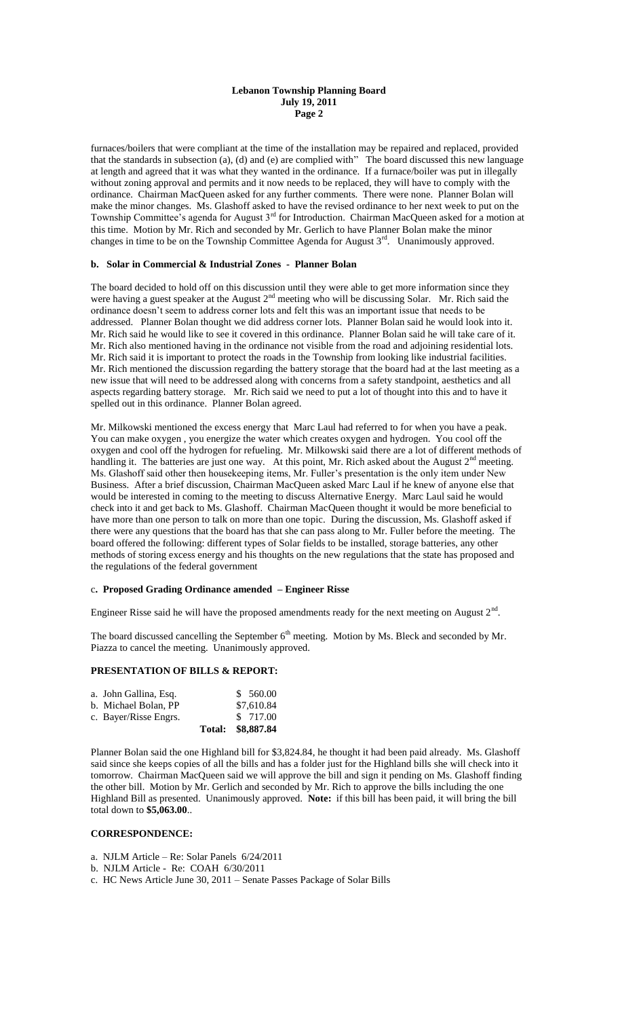## **Lebanon Township Planning Board July 19, 2011 Page 2**

furnaces/boilers that were compliant at the time of the installation may be repaired and replaced, provided that the standards in subsection (a), (d) and (e) are complied with" The board discussed this new language at length and agreed that it was what they wanted in the ordinance. If a furnace/boiler was put in illegally without zoning approval and permits and it now needs to be replaced, they will have to comply with the ordinance. Chairman MacQueen asked for any further comments. There were none. Planner Bolan will make the minor changes. Ms. Glashoff asked to have the revised ordinance to her next week to put on the Township Committee's agenda for August 3<sup>rd</sup> for Introduction. Chairman MacQueen asked for a motion at this time. Motion by Mr. Rich and seconded by Mr. Gerlich to have Planner Bolan make the minor changes in time to be on the Township Committee Agenda for August  $3<sup>rd</sup>$ . Unanimously approved.

## **b. Solar in Commercial & Industrial Zones - Planner Bolan**

The board decided to hold off on this discussion until they were able to get more information since they were having a guest speaker at the August  $2<sup>nd</sup>$  meeting who will be discussing Solar. Mr. Rich said the ordinance doesn't seem to address corner lots and felt this was an important issue that needs to be addressed. Planner Bolan thought we did address corner lots. Planner Bolan said he would look into it. Mr. Rich said he would like to see it covered in this ordinance. Planner Bolan said he will take care of it. Mr. Rich also mentioned having in the ordinance not visible from the road and adjoining residential lots. Mr. Rich said it is important to protect the roads in the Township from looking like industrial facilities. Mr. Rich mentioned the discussion regarding the battery storage that the board had at the last meeting as a new issue that will need to be addressed along with concerns from a safety standpoint, aesthetics and all aspects regarding battery storage. Mr. Rich said we need to put a lot of thought into this and to have it spelled out in this ordinance. Planner Bolan agreed.

Mr. Milkowski mentioned the excess energy that Marc Laul had referred to for when you have a peak. You can make oxygen , you energize the water which creates oxygen and hydrogen. You cool off the oxygen and cool off the hydrogen for refueling. Mr. Milkowski said there are a lot of different methods of handling it. The batteries are just one way. At this point, Mr. Rich asked about the August  $2<sup>nd</sup>$  meeting. Ms. Glashoff said other then housekeeping items, Mr. Fuller's presentation is the only item under New Business. After a brief discussion, Chairman MacQueen asked Marc Laul if he knew of anyone else that would be interested in coming to the meeting to discuss Alternative Energy. Marc Laul said he would check into it and get back to Ms. Glashoff. Chairman MacQueen thought it would be more beneficial to have more than one person to talk on more than one topic. During the discussion, Ms. Glashoff asked if there were any questions that the board has that she can pass along to Mr. Fuller before the meeting. The board offered the following: different types of Solar fields to be installed, storage batteries, any other methods of storing excess energy and his thoughts on the new regulations that the state has proposed and the regulations of the federal government

#### c**. Proposed Grading Ordinance amended – Engineer Risse**

Engineer Risse said he will have the proposed amendments ready for the next meeting on August  $2<sup>nd</sup>$ .

The board discussed cancelling the September  $6<sup>th</sup>$  meeting. Motion by Ms. Bleck and seconded by Mr. Piazza to cancel the meeting. Unanimously approved.

## **PRESENTATION OF BILLS & REPORT:**

| a. John Gallina, Esq. |        | \$560.00   |
|-----------------------|--------|------------|
| b. Michael Bolan, PP  |        | \$7,610.84 |
| c. Bayer/Risse Engrs. |        | \$ 717.00  |
|                       | Total: | \$8,887.84 |

Planner Bolan said the one Highland bill for \$3,824.84, he thought it had been paid already. Ms. Glashoff said since she keeps copies of all the bills and has a folder just for the Highland bills she will check into it tomorrow. Chairman MacQueen said we will approve the bill and sign it pending on Ms. Glashoff finding the other bill. Motion by Mr. Gerlich and seconded by Mr. Rich to approve the bills including the one Highland Bill as presented. Unanimously approved. **Note:** if this bill has been paid, it will bring the bill total down to **\$5,063.00**..

### **CORRESPONDENCE:**

a. NJLM Article – Re: Solar Panels 6/24/2011

- b. NJLM Article Re: COAH 6/30/2011
- c. HC News Article June 30, 2011 Senate Passes Package of Solar Bills